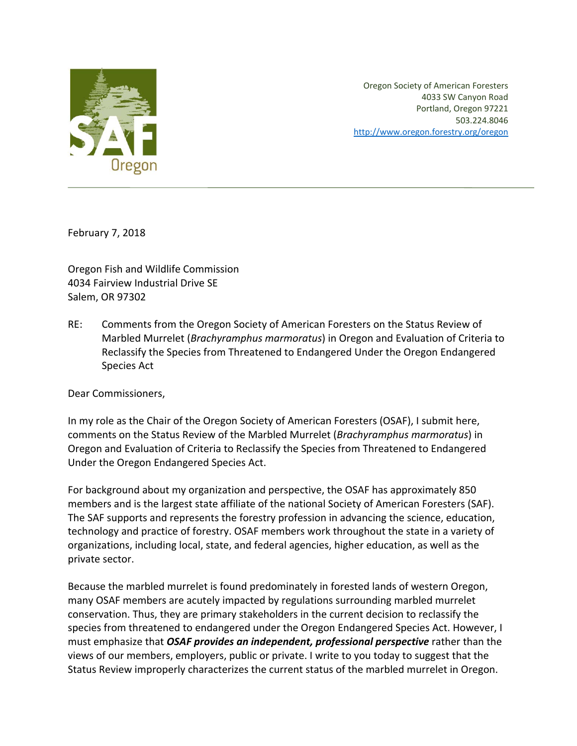

Oregon Society of American Foresters 4033 SW Canyon Road Portland, Oregon 97221 503.224.8046 http://www.oregon.forestry.org/oregon

February 7, 2018

Oregon Fish and Wildlife Commission 4034 Fairview Industrial Drive SE Salem, OR 97302

RE: Comments from the Oregon Society of American Foresters on the Status Review of Marbled Murrelet (*Brachyramphus marmoratus*) in Oregon and Evaluation of Criteria to Reclassify the Species from Threatened to Endangered Under the Oregon Endangered Species Act

Dear Commissioners,

In my role as the Chair of the Oregon Society of American Foresters (OSAF), I submit here, comments on the Status Review of the Marbled Murrelet (*Brachyramphus marmoratus*) in Oregon and Evaluation of Criteria to Reclassify the Species from Threatened to Endangered Under the Oregon Endangered Species Act.

For background about my organization and perspective, the OSAF has approximately 850 members and is the largest state affiliate of the national Society of American Foresters (SAF). The SAF supports and represents the forestry profession in advancing the science, education, technology and practice of forestry. OSAF members work throughout the state in a variety of organizations, including local, state, and federal agencies, higher education, as well as the private sector.

Because the marbled murrelet is found predominately in forested lands of western Oregon, many OSAF members are acutely impacted by regulations surrounding marbled murrelet conservation. Thus, they are primary stakeholders in the current decision to reclassify the species from threatened to endangered under the Oregon Endangered Species Act. However, I must emphasize that *OSAF provides an independent, professional perspective* rather than the views of our members, employers, public or private. I write to you today to suggest that the Status Review improperly characterizes the current status of the marbled murrelet in Oregon.